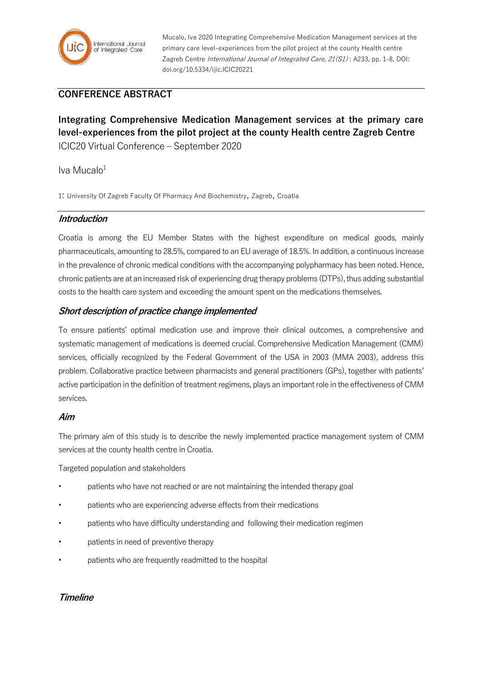

Mucalo, Iva 2020 Integrating Comprehensive Medication Management services at the primary care level-experiences from the pilot project at the county Health centre Zagreb Centre *International Journal of Integrated Care, 21(S1)*: A233, pp. 1-8, DOI: doi.org/10.5334/ijic.ICIC20221

# **CONFERENCE ABSTRACT**

**Integrating Comprehensive Medication Management services at the primary care level-experiences from the pilot project at the county Health centre Zagreb Centre** ICIC20 Virtual Conference – September 2020

### Iva Mucalo $1$

1: University Of Zagreb Faculty Of Pharmacy And Biochemistry, Zagreb, Croatia

### **Introduction**

Croatia is among the EU Member States with the highest expenditure on medical goods, mainly pharmaceuticals, amounting to 28.5%, compared to an EU average of 18.5%. In addition, a continuous increase in the prevalence of chronic medical conditions with the accompanying polypharmacy has been noted. Hence, chronic patients are at an increased risk of experiencing drug therapy problems (DTPs), thus adding substantial costs to the health care system and exceeding the amount spent on the medications themselves.

### **Short description of practice change implemented**

To ensure patients' optimal medication use and improve their clinical outcomes, a comprehensive and systematic management of medications is deemed crucial. Comprehensive Medication Management (CMM) services, officially recognized by the Federal Government of the USA in 2003 (MMA 2003), address this problem. Collaborative practice between pharmacists and general practitioners (GPs), together with patients' active participation in the definition of treatment regimens, plays an important role in the effectiveness of CMM services.

### **Aim**

The primary aim of this study is to describe the newly implemented practice management system of CMM services at the county health centre in Croatia.

Targeted population and stakeholders

- patients who have not reached or are not maintaining the intended therapy goal
- patients who are experiencing adverse effects from their medications
- patients who have difficulty understanding and following their medication regimen
- patients in need of preventive therapy
- patients who are frequently readmitted to the hospital

### **Timeline**